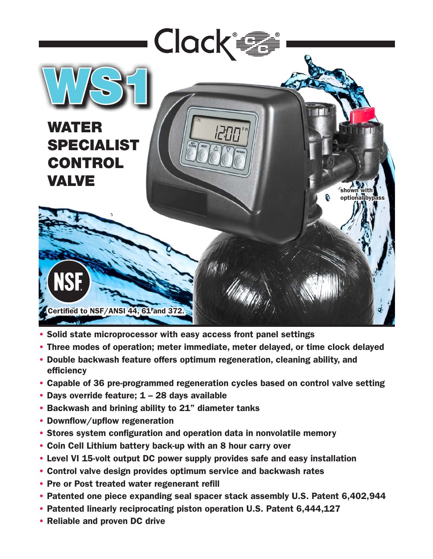

- Solid state microprocessor with easy access front panel settings
- Three modes of operation; meter immediate, meter delayed, or time clock delayed
- Double backwash feature offers optimum regeneration, cleaning ability, and efficiency
- Capable of 36 pre-programmed regeneration cycles based on control valve setting
- Days override feature; 1 28 days available
- Backwash and brining ability to 21" diameter tanks
- Downflow/upflow regeneration
- Stores system configuration and operation data in nonvolatile memory
- Coin Cell Lithium battery back-up with an 8 hour carry over
- Level VI 15-volt output DC power supply provides safe and easy installation
- Control valve design provides optimum service and backwash rates
- Pre or Post treated water regenerant refill
- Patented one piece expanding seal spacer stack assembly U.S. Patent 6,402,944
- Patented linearly reciprocating piston operation U.S. Patent 6,444,127
- Reliable and proven DC drive